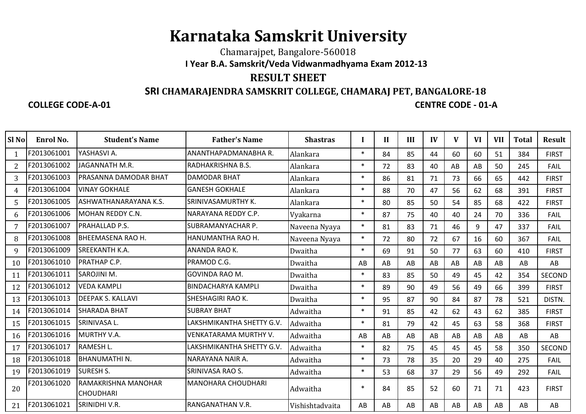## **Karnataka Samskrit University**

Chamarajpet, Bangalore-560018**I Year B.A. Samskrit/Veda Vidwanmadhyama Exam 2012-13**

## **RESULT SHEET**

## **SRI CHAMARAJENDRA SAMSKRIT COLLEGE, CHAMARAJ PET, BANGALORE-18**

## **COLLEGE CODE-A-01**

**CENTRE CODE - 01-A** 

| Sl <sub>No</sub> | Enrol No.   | <b>Student's Name</b>                   | <b>Father's Name</b>      | <b>Shastras</b> |        | $\mathbf{I}$ | III | IV | V  | VI | <b>VII</b> | Total | <b>Result</b> |
|------------------|-------------|-----------------------------------------|---------------------------|-----------------|--------|--------------|-----|----|----|----|------------|-------|---------------|
|                  | F2013061001 | YASHASVI A.                             | ANANTHAPADMANABHA R.      | Alankara        | $\ast$ | 84           | 85  | 44 | 60 | 60 | 51         | 384   | <b>FIRST</b>  |
| $\overline{2}$   | F2013061002 | JAGANNATH M.R.                          | RADHAKRISHNA B.S.         | Alankara        | $\ast$ | 72           | 83  | 40 | AB | AB | 50         | 245   | <b>FAIL</b>   |
| 3                | F2013061003 | IPRASANNA DAMODAR BHAT                  | <b>DAMODAR BHAT</b>       | Alankara        | $\ast$ | 86           | 81  | 71 | 73 | 66 | 65         | 442   | <b>FIRST</b>  |
| 4                | F2013061004 | <b>VINAY GOKHALE</b>                    | <b>GANESH GOKHALE</b>     | Alankara        | $\ast$ | 88           | 70  | 47 | 56 | 62 | 68         | 391   | <b>FIRST</b>  |
| 5                | F2013061005 | ASHWATHANARAYANA K.S.                   | SRINIVASAMURTHY K.        | Alankara        | $\ast$ | 80           | 85  | 50 | 54 | 85 | 68         | 422   | <b>FIRST</b>  |
| 6                | F2013061006 | <b>MOHAN REDDY C.N.</b>                 | NARAYANA REDDY C.P.       | Vyakarna        | $\ast$ | 87           | 75  | 40 | 40 | 24 | 70         | 336   | <b>FAIL</b>   |
|                  | F2013061007 | PRAHALLAD P.S.                          | SUBRAMANYACHAR P.         | Naveena Nyaya   | $\ast$ | 81           | 83  | 71 | 46 | 9  | 47         | 337   | <b>FAIL</b>   |
| 8                | F2013061008 | <b>BHEEMASENA RAO H.</b>                | HANUMANTHA RAO H.         | Naveena Nyaya   | $\ast$ | 72           | 80  | 72 | 67 | 16 | 60         | 367   | <b>FAIL</b>   |
| 9                | F2013061009 | <b>SREEKANTH K.A.</b>                   | ANANDA RAO K.             | Dwaitha         | $\ast$ | 69           | 91  | 50 | 77 | 63 | 60         | 410   | <b>FIRST</b>  |
| 10               | F2013061010 | <b>PRATHAP C.P.</b>                     | PRAMOD C.G.               | Dwaitha         | AB     | AB           | AB  | AB | AB | AB | AB         | AB    | AB            |
| 11               | F2013061011 | <b>SAROJINI M.</b>                      | <b>GOVINDA RAO M.</b>     | Dwaitha         | $\ast$ | 83           | 85  | 50 | 49 | 45 | 42         | 354   | <b>SECOND</b> |
| 12               | F2013061012 | <b>VEDA KAMPLI</b>                      | <b>BINDACHARYA KAMPLI</b> | Dwaitha         | $\ast$ | 89           | 90  | 49 | 56 | 49 | 66         | 399   | <b>FIRST</b>  |
| 13               | F2013061013 | <b>DEEPAK S. KALLAVI</b>                | SHESHAGIRI RAO K.         | Dwaitha         | $\ast$ | 95           | 87  | 90 | 84 | 87 | 78         | 521   | DISTN.        |
| 14               | F2013061014 | <b>SHARADA BHAT</b>                     | <b>SUBRAY BHAT</b>        | Adwaitha        | $\ast$ | 91           | 85  | 42 | 62 | 43 | 62         | 385   | <b>FIRST</b>  |
| 15               | F2013061015 | <b>SRINIVASA L.</b>                     | LAKSHMIKANTHA SHETTY G.V. | Adwaitha        | $\ast$ | 81           | 79  | 42 | 45 | 63 | 58         | 368   | <b>FIRST</b>  |
| 16               | F2013061016 | MURTHY V.A.                             | VENKATARAMA MURTHY V.     | Adwaitha        | AB     | AB           | AB  | AB | AB | AB | AB         | AB    | AB            |
| 17               | F2013061017 | <b>RAMESH L.</b>                        | LAKSHMIKANTHA SHETTY G.V. | Adwaitha        | $\ast$ | 82           | 75  | 45 | 45 | 45 | 58         | 350   | <b>SECOND</b> |
| 18               | F2013061018 | <b>BHANUMATHIN.</b>                     | NARAYANA NAIR A.          | Adwaitha        | $\ast$ | 73           | 78  | 35 | 20 | 29 | 40         | 275   | <b>FAIL</b>   |
| 19               | F2013061019 | <b>ISURESH S.</b>                       | <b>SRINIVASA RAO S.</b>   | Adwaitha        | $\ast$ | 53           | 68  | 37 | 29 | 56 | 49         | 292   | <b>FAIL</b>   |
| 20               | F2013061020 | RAMAKRISHNA MANOHAR<br><b>CHOUDHARI</b> | <b>MANOHARA CHOUDHARI</b> | Adwaitha        | $\ast$ | 84           | 85  | 52 | 60 | 71 | 71         | 423   | <b>FIRST</b>  |
| 21               | F2013061021 | SRINIDHI V.R.                           | RANGANATHAN V.R.          | Vishishtadvaita | AB     | AB           | AB  | AB | AB | AB | AB         | AB    | AB            |
|                  |             |                                         |                           |                 |        |              |     |    |    |    |            |       |               |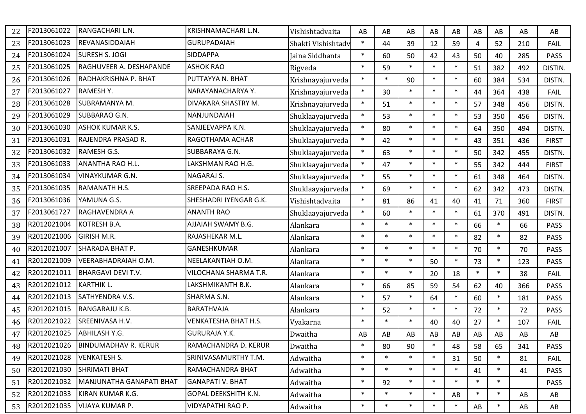| 22 | F2013061022 | RANGACHARI L.N.             | KRISHNAMACHARI L.N.         | Vishishtadvaita    | AB     | AB     | AB     | AB     | AB     | AB     | AB     | AB  | AB           |
|----|-------------|-----------------------------|-----------------------------|--------------------|--------|--------|--------|--------|--------|--------|--------|-----|--------------|
| 23 | F2013061023 | REVANASIDDAIAH              | <b>GURUPADAIAH</b>          | Shakti Vishishtadv | $\ast$ | 44     | 39     | 12     | 59     | 4      | 52     | 210 | <b>FAIL</b>  |
| 24 | F2013061024 | <b>SURESH S. JOGI</b>       | <b>SIDDAPPA</b>             | Jaina Siddhanta    | $\ast$ | 60     | 50     | 42     | 43     | 50     | 40     | 285 | <b>PASS</b>  |
| 25 | F2013061025 | RAGHUVEER A. DESHAPANDE     | <b>ASHOK RAO</b>            | Rigveda            | $\ast$ | 59     | $\ast$ | $\ast$ | $\ast$ | 51     | 382    | 492 | DISTIN.      |
| 26 | F2013061026 | RADHAKRISHNA P. BHAT        | PUTTAYYA N. BHAT            | Krishnayajurveda   | $\ast$ | $\ast$ | 90     | $\ast$ | $\ast$ | 60     | 384    | 534 | DISTN.       |
| 27 | F2013061027 | <b>RAMESHY.</b>             | NARAYANACHARYA Y.           | Krishnayajurveda   | $\ast$ | 30     | $\ast$ | $\ast$ | $\ast$ | 44     | 364    | 438 | <b>FAIL</b>  |
| 28 | F2013061028 | <b>SUBRAMANYA M.</b>        | DIVAKARA SHASTRY M.         | Krishnayajurveda   | $\ast$ | 51     | $\ast$ | $\ast$ | $\ast$ | 57     | 348    | 456 | DISTN.       |
| 29 | F2013061029 | <b>SUBBARAO G.N.</b>        | NANJUNDAIAH                 | Shuklaayajurveda   | $\ast$ | 53     | $\ast$ | $\ast$ | $\ast$ | 53     | 350    | 456 | DISTN.       |
| 30 | F2013061030 | <b>ASHOK KUMAR K.S.</b>     | SANJEEVAPPA K.N.            | Shuklaayajurveda   | $\ast$ | 80     | $\ast$ | $\ast$ | $\ast$ | 64     | 350    | 494 | DISTN.       |
| 31 | F2013061031 | RAJENDRA PRASAD R.          | RAGOTHAMA ACHAR             | Shuklaayajurveda   | $\ast$ | 42     | $\ast$ | $\ast$ | $\ast$ | 43     | 351    | 436 | <b>FIRST</b> |
| 32 | F2013061032 | RAMESH G.S.                 | SUBBARAYA G.N.              | Shuklaayajurveda   | $\ast$ | 63     | $\ast$ | $\ast$ | $\ast$ | 50     | 342    | 455 | DISTN.       |
| 33 | F2013061033 | <b>ANANTHA RAO H.L.</b>     | LAKSHMAN RAO H.G.           | Shuklaayajurveda   | $\ast$ | 47     | $\ast$ | $\ast$ | $\ast$ | 55     | 342    | 444 | <b>FIRST</b> |
| 34 | F2013061034 | <b>VINAYKUMAR G.N.</b>      | NAGARAJ S.                  | Shuklaayajurveda   | $\ast$ | 55     | $\ast$ | $\ast$ | $\ast$ | 61     | 348    | 464 | DISTN.       |
| 35 | F2013061035 | RAMANATH H.S.               | <b>SREEPADA RAO H.S.</b>    | Shuklaayajurveda   | $\ast$ | 69     | $\ast$ | $\ast$ | $\ast$ | 62     | 342    | 473 | DISTN.       |
| 36 | F2013061036 | YAMUNA G.S.                 | SHESHADRI IYENGAR G.K.      | Vishishtadvaita    | $\ast$ | 81     | 86     | 41     | 40     | 41     | 71     | 360 | <b>FIRST</b> |
| 37 | F2013061727 | <b>RAGHAVENDRA A</b>        | <b>ANANTH RAO</b>           | Shuklaayajurveda   | $\ast$ | 60     | $\ast$ | $\ast$ | $\ast$ | 61     | 370    | 491 | DISTN.       |
| 38 | R2012021004 | KOTRESH B.A.                | <b>AJJAIAH SWAMY B.G.</b>   | Alankara           | $\ast$ | $\ast$ | $\ast$ | $\ast$ | $\ast$ | 66     | $\ast$ | 66  | <b>PASS</b>  |
| 39 | R2012021006 | <b>GIRISH M.R.</b>          | RAJASHEKAR M.L.             | Alankara           | $\ast$ | $\ast$ | $\ast$ | $\ast$ | $\ast$ | 82     | $\ast$ | 82  | <b>PASS</b>  |
| 40 | R2012021007 | <b>SHARADA BHAT P.</b>      | <b>GANESHKUMAR</b>          | Alankara           | $\ast$ | $\ast$ | $\ast$ | $\ast$ | $\ast$ | 70     | $\ast$ | 70  | <b>PASS</b>  |
| 41 | R2012021009 | VEERABHADRAIAH O.M.         | NEELAKANTIAH O.M.           | Alankara           | $\ast$ | $\ast$ | $\ast$ | 50     | $\ast$ | 73     | $\ast$ | 123 | <b>PASS</b>  |
| 42 | R2012021011 | <b>BHARGAVI DEVI T.V.</b>   | VILOCHANA SHARMA T.R.       | Alankara           | $\ast$ | $\ast$ | $\ast$ | 20     | 18     | $\ast$ | $\ast$ | 38  | <b>FAIL</b>  |
| 43 | R2012021012 | <b>KARTHIK L.</b>           | LAKSHMIKANTH B.K.           | Alankara           | $\ast$ | 66     | 85     | 59     | 54     | 62     | 40     | 366 | <b>PASS</b>  |
| 44 | R2012021013 | SATHYENDRA V.S.             | SHARMA S.N.                 | Alankara           | $\ast$ | 57     | $\ast$ | 64     | $\ast$ | 60     | $\ast$ | 181 | <b>PASS</b>  |
| 45 | R2012021015 | RANGARAJU K.B.              | <b>BARATHVAJA</b>           | Alankara           | $\ast$ | 52     | $\ast$ | $\ast$ | $\ast$ | 72     | $\ast$ | 72  | <b>PASS</b>  |
| 46 | R2012021022 | SREENIVASA H.V.             | <b>VENKATESHA BHAT H.S.</b> | Vyakarna           | $\ast$ | $\ast$ | $\ast$ | 40     | 40     | 27     | $\ast$ | 107 | FAIL         |
| 47 | R2012021025 | ABHILASH Y.G.               | <b>GURURAJA Y.K.</b>        | Dwaitha            | AB     | AB     | AB     | AB     | AB     | AB     | AB     | AB  | AB           |
| 48 | R2012021026 | <b>BINDUMADHAV R. KERUR</b> | RAMACHANDRA D. KERUR        | Dwaitha            | $\ast$ | 80     | 90     | $\ast$ | 48     | 58     | 65     | 341 | <b>PASS</b>  |
| 49 | R2012021028 | <b>VENKATESH S.</b>         | SRINIVASAMURTHY T.M.        | Adwaitha           | $\ast$ | $\ast$ | $\ast$ | $\ast$ | 31     | 50     | $\ast$ | 81  | FAIL         |
| 50 | R2012021030 | <b>SHRIMATI BHAT</b>        | RAMACHANDRA BHAT            | Adwaitha           | $\ast$ | $\ast$ | $\ast$ | $\ast$ | $\ast$ | 41     | $\ast$ | 41  | <b>PASS</b>  |
| 51 | R2012021032 | MANJUNATHA GANAPATI BHAT    | <b>GANAPATI V. BHAT</b>     | Adwaitha           | $\ast$ | 92     | $\ast$ | $\ast$ | $\ast$ | $\ast$ | $\ast$ |     | <b>PASS</b>  |
| 52 | R2012021033 | KIRAN KUMAR K.G.            | <b>GOPAL DEEKSHITH K.N.</b> | Adwaitha           | $\ast$ | $\ast$ | $\ast$ | $\ast$ | AB     | $\ast$ | $\ast$ | AB  | AB           |
| 53 | R2012021035 | <b>VIJAYA KUMAR P.</b>      | VIDYAPATHI RAO P.           | Adwaitha           | $\ast$ | $\ast$ | $\ast$ | $\ast$ | $\ast$ | AB     | $\ast$ | AB  | AB           |